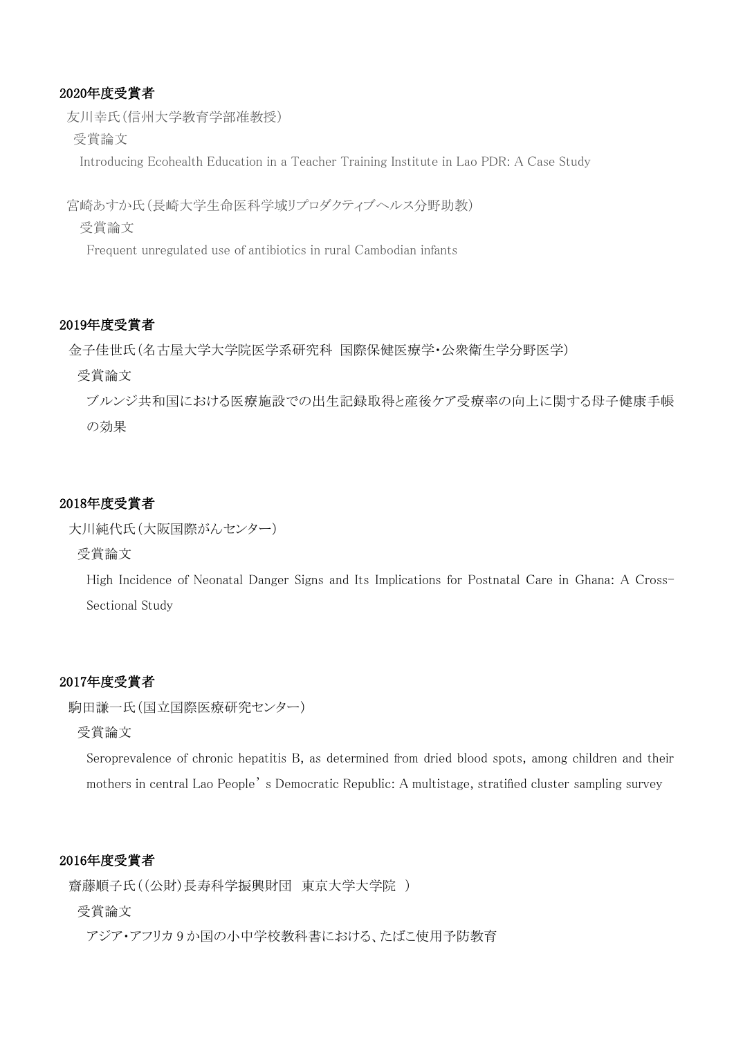# 2020年度受賞者

友川幸氏(信州大学教育学部准教授)

受賞論文

Introducing Ecohealth Education in a Teacher Training Institute in Lao PDR: A Case Study

宮崎あすか氏(長崎大学生命医科学域リプロダクティブヘルス分野助教)

受賞論文

Frequent unregulated use of antibiotics in rural Cambodian infants

### 2019年度受賞者

金子佳世氏(名古屋大学大学院医学系研究科 国際保健医療学・公衆衛生学分野医学)

受賞論文

ブルンジ共和国における医療施設での出生記録取得と産後ケア受療率の向上に関する母子健康手帳 の効果

## 2018年度受賞者

```
大川純代氏(大阪国際がんセンター)
```
受賞論文

High Incidence of Neonatal Danger Signs and Its Implications for Postnatal Care in Ghana: A Cross-Sectional Study

## 2017年度受賞者

```
駒田謙一氏(国立国際医療研究センター)
```
受賞論文

Seroprevalence of chronic hepatitis B, as determined from dried blood spots, among children and their mothers in central Lao People' s Democratic Republic: A multistage, stratified cluster sampling survey

# 2016年度受賞者

齋藤順子氏((公財)長寿科学振興財団 東京大学大学院 )

## 受賞論文

アジア・アフリカ 9 か国の小中学校教科書における、たばこ使用予防教育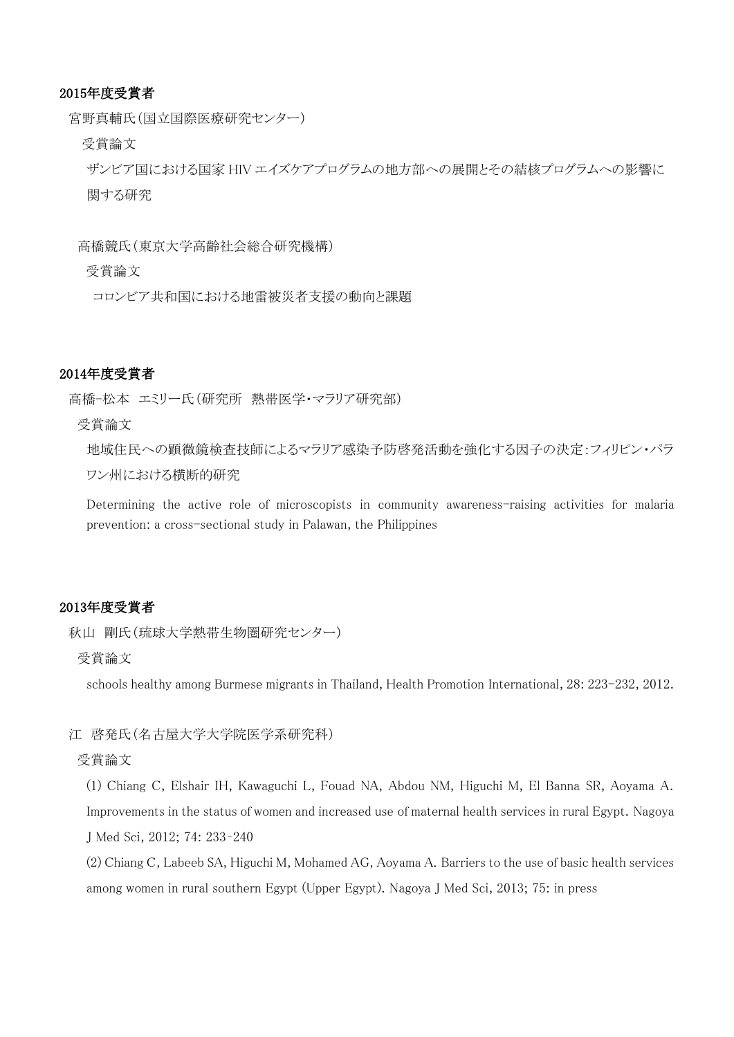### 2015年度受賞者

宮野真輔氏(国立国際医療研究センター)

受賞論文

ザンビア国における国家 HIV エイズケアプログラムの地方部への展開とその結核プログラムへの影響に 関する研究

高橋競氏(東京大学高齢社会総合研究機構)

受賞論文

コロンビア共和国における地雷被災者支援の動向と課題

### 2014年度受賞者

高橋-松本 エミリー氏(研究所 熱帯医学・マラリア研究部)

受賞論文

地域住民への顕微鏡検査技師によるマラリア感染予防啓発活動を強化する因子の決定:フィリピン・パラ ワン州における横断的研究

Determining the active role of microscopists in community awareness-raising activities for malaria prevention: a cross-sectional study in Palawan, the Philippines

# 2013年度受賞者

秋山 剛氏(琉球大学熱帯生物圏研究センター)

受賞論文

schools healthy among Burmese migrants in Thailand, Health Promotion International, 28: 223-232, 2012.

江 啓発氏(名古屋大学大学院医学系研究科)

### 受賞論文

(1) Chiang C, Elshair IH, Kawaguchi L, Fouad NA, Abdou NM, Higuchi M, El Banna SR, Aoyama A. Improvements in the status of women and increased use of maternal health services in rural Egypt. Nagoya J Med Sci, 2012; 74: 233–240

(2) Chiang C, Labeeb SA, Higuchi M, Mohamed AG, Aoyama A. Barriers to the use of basic health services among women in rural southern Egypt (Upper Egypt). Nagoya J Med Sci, 2013; 75: in press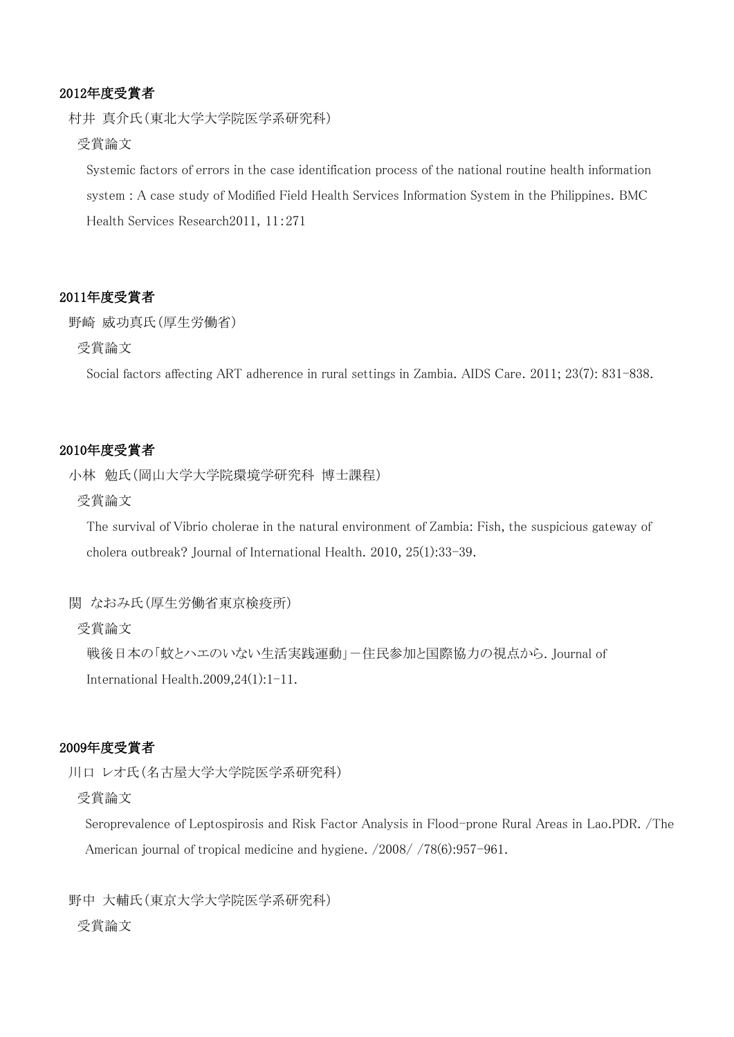## 2012年度受賞者

村井 真介氏(東北大学大学院医学系研究科)

## 受賞論文

Systemic factors of errors in the case identification process of the national routine health information system : A case study of Modified Field Health Services Information System in the Philippines. BMC Health Services Research2011, 11:271

## 2011年度受賞者

野崎 威功真氏(厚生労働省)

## 受賞論文

Social factors affecting ART adherence in rural settings in Zambia. AIDS Care. 2011; 23(7): 831-838.

### 2010年度受賞者

小林 勉氏(岡山大学大学院環境学研究科 博士課程)

#### 受賞論文

The survival of Vibrio cholerae in the natural environment of Zambia: Fish, the suspicious gateway of cholera outbreak? Journal of International Health. 2010, 25(1):33-39.

#### 関 なおみ氏(厚生労働省東京検疫所)

## 受賞論文

戦後日本の「蚊とハエのいない生活実践運動」ー住民参加と国際協力の視点から. Journal of International Health.2009,24(1):1-11.

### 2009年度受賞者

川口 レオ氏(名古屋大学大学院医学系研究科)

### 受賞論文

Seroprevalence of Leptospirosis and Risk Factor Analysis in Flood-prone Rural Areas in Lao.PDR. /The American journal of tropical medicine and hygiene. /2008/ /78(6):957-961.

野中 大輔氏(東京大学大学院医学系研究科) 受賞論文